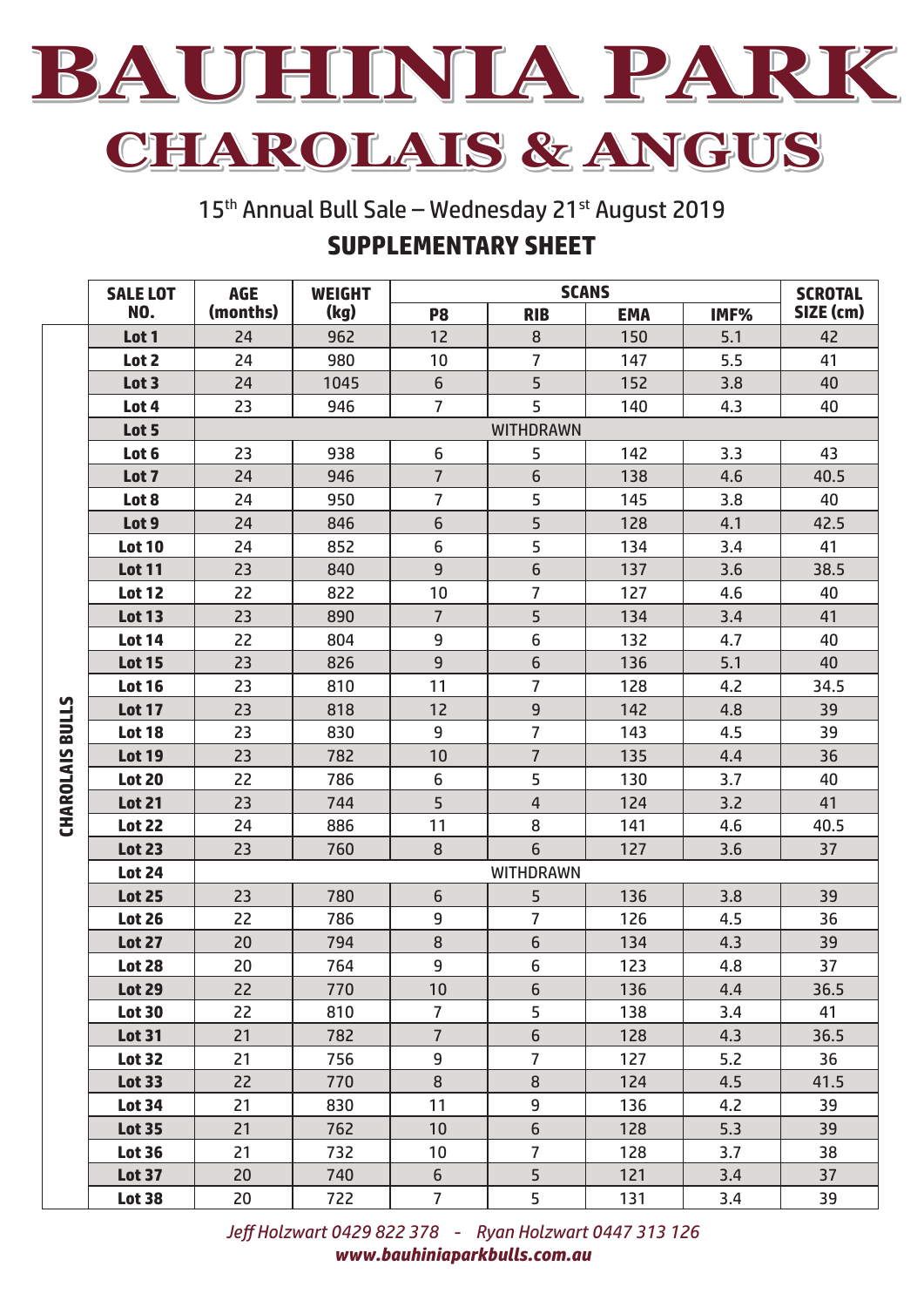

**CHAROLAIS & ANGUS**

15<sup>th</sup> Annual Bull Sale – Wednesday 21<sup>st</sup> August 2019 **SUPPLEMENTARY SHEET**

|                        | <b>SALE LOT</b> | <b>AGE</b>       | <b>WEIGHT</b> | <b>SCANS</b>    |                |            | <b>SCROTAL</b> |           |  |
|------------------------|-----------------|------------------|---------------|-----------------|----------------|------------|----------------|-----------|--|
|                        | NO.             | (months)         | (kg)          | P <sub>8</sub>  | <b>RIB</b>     | <b>EMA</b> | IMF%           | SIZE (cm) |  |
|                        | Lot 1           | 24               | 962           | 12              | 8              | 150        | 5.1            | 42        |  |
|                        | Lot 2           | 24               | 980           | 10              | 7              | 147        | 5.5            | 41        |  |
|                        | Lot 3           | 24               | 1045          | $6\phantom{1}$  | 5              | 152        | 3.8            | 40        |  |
|                        | Lot 4           | 23               | 946           | $\overline{7}$  | 5              | 140        | 4.3            | 40        |  |
|                        | Lot 5           | <b>WITHDRAWN</b> |               |                 |                |            |                |           |  |
|                        | Lot 6           | 23               | 938           | $6\,$           | 5              | 142        | 3.3            | 43        |  |
|                        | Lot 7           | 24               | 946           | $\overline{7}$  | 6              | 138        | 4.6            | 40.5      |  |
|                        | Lot 8           | 24               | 950           | $\overline{7}$  | 5              | 145        | 3.8            | 40        |  |
|                        | Lot 9           | 24               | 846           | $6\phantom{1}$  | 5              | 128        | 4.1            | 42.5      |  |
|                        | <b>Lot 10</b>   | 24               | 852           | 6               | 5              | 134        | 3.4            | 41        |  |
| <b>CHAROLAIS BULLS</b> | <b>Lot 11</b>   | 23               | 840           | $9\,$           | 6              | 137        | 3.6            | 38.5      |  |
|                        | <b>Lot 12</b>   | 22               | 822           | 10              | 7              | 127        | 4.6            | 40        |  |
|                        | <b>Lot 13</b>   | 23               | 890           | $\overline{7}$  | 5              | 134        | 3.4            | 41        |  |
|                        | <b>Lot 14</b>   | 22               | 804           | 9               | 6              | 132        | 4.7            | 40        |  |
|                        | <b>Lot 15</b>   | 23               | 826           | $9\,$           | 6              | 136        | 5.1            | 40        |  |
|                        | <b>Lot 16</b>   | 23               | 810           | 11              | 7              | 128        | 4.2            | 34.5      |  |
|                        | <b>Lot 17</b>   | 23               | 818           | 12              | 9              | 142        | 4.8            | 39        |  |
|                        | <b>Lot 18</b>   | 23               | 830           | 9               | 7              | 143        | 4.5            | 39        |  |
|                        | <b>Lot 19</b>   | 23               | 782           | 10              | $\overline{7}$ | 135        | 4.4            | 36        |  |
|                        | <b>Lot 20</b>   | 22               | 786           | 6               | 5              | 130        | 3.7            | 40        |  |
|                        | <b>Lot 21</b>   | 23               | 744           | 5               | $\overline{4}$ | 124        | 3.2            | 41        |  |
|                        | <b>Lot 22</b>   | 24               | 886           | 11              | 8              | 141        | 4.6            | 40.5      |  |
|                        | <b>Lot 23</b>   | 23               | 760           | 8               | 6              | 127        | 3.6            | 37        |  |
|                        | <b>Lot 24</b>   | <b>WITHDRAWN</b> |               |                 |                |            |                |           |  |
|                        | <b>Lot 25</b>   | 23               | 780           | $6\,$           | 5              | 136        | 3.8            | 39        |  |
|                        | <b>Lot 26</b>   | 22               | 786           | 9               | 7              | 126        | 4.5            | 36        |  |
|                        | <b>Lot 27</b>   | 20               | 794           | 8               | 6              | 134        | 4.3            | 39        |  |
|                        | <b>Lot 28</b>   | 20               | 764           | 9               | 6              | 123        | 4.8            | 37        |  |
|                        | <b>Lot 29</b>   | 22               | 770           | 10              | 6              | 136        | 4.4            | 36.5      |  |
|                        | <b>Lot 30</b>   | 22               | 810           | $\overline{7}$  | 5              | 138        | 3.4            | 41        |  |
|                        | <b>Lot 31</b>   | 21               | 782           | $\overline{7}$  | 6              | 128        | 4.3            | 36.5      |  |
|                        | <b>Lot 32</b>   | 21               | 756           | 9               | $\overline{7}$ | 127        | 5.2            | 36        |  |
|                        | <b>Lot 33</b>   | 22               | 770           | 8               | 8              | 124        | 4.5            | 41.5      |  |
|                        | <b>Lot 34</b>   | 21               | 830           | 11              | 9              | 136        | 4.2            | 39        |  |
|                        | <b>Lot 35</b>   | 21               | 762           | 10 <sup>°</sup> | 6              | 128        | 5.3            | 39        |  |
|                        | <b>Lot 36</b>   | 21               | 732           | 10              | $\overline{7}$ | 128        | 3.7            | 38        |  |
|                        | <b>Lot 37</b>   | 20               | 740           | 6               | 5              | 121        | 3.4            | 37        |  |
|                        | <b>Lot 38</b>   | 20               | 722           | $\overline{7}$  | 5              | 131        | 3.4            | 39        |  |

*Jeff Holzwart 0429 822 378 - Ryan Holzwart 0447 313 126 www.bauhiniaparkbulls.com.au*